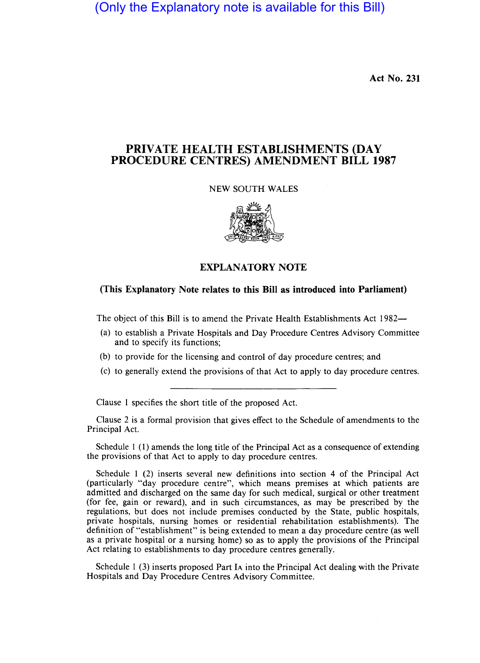(Only the Explanatory note is available for this Bill)

Act No. 231

# PRIVATE HEALTH ESTABLISHMENTS (DAY PROCEDURE CENTRES) AMENDMENT BILL 1987

#### NEW SOUTH WALES



## EXPLANATORY NOTE

#### (This Explanatory Note relates to this Bill as introduced into Parliament)

The object of this Bill is to amend the Private Health Establishments Act 1982—

- (a) to establish a Private Hospitals and Day Procedure Centres Advisory Committee and to specify its functions;
- (b) to provide for the licensing and control of day procedure centres; and
- (c) to generally extend the provisions of that Act to apply to day procedure centres.

Clause 1 specifies the short title of the proposed Act.

Clause 2 is a formal provision that gives effect to the Schedule of amendments to the Principal Act.

Schedule 1 (1) amends the long title of the Principal Act as a consequence of extending the provisions of that Act to apply to day procedure centres.

Schedule 1 (2) inserts several new definitions into section 4 of the Principal Act (particularly "day procedure centre", which means premises at which patients are admitted and discharged on the same day for such medical, surgical or other treatment (for fee, gain or reward), and in such circumstances, as may be prescribed by the regulations, but does not include premises conducted by the State, public hospitals, private hospitals, nursing homes or residential rehabilitation establishments). The definition of "establishment" is being extended to mean a day procedure centre (as well as a private hospital or a nursing home) so as to apply the provisions of the Principal Act relating to establishments to day procedure centres generally.

Schedule 1 (3) inserts proposed Part lA into the Principal Act dealing with the Private Hospitals and Day Procedure Centres Advisory Committee.